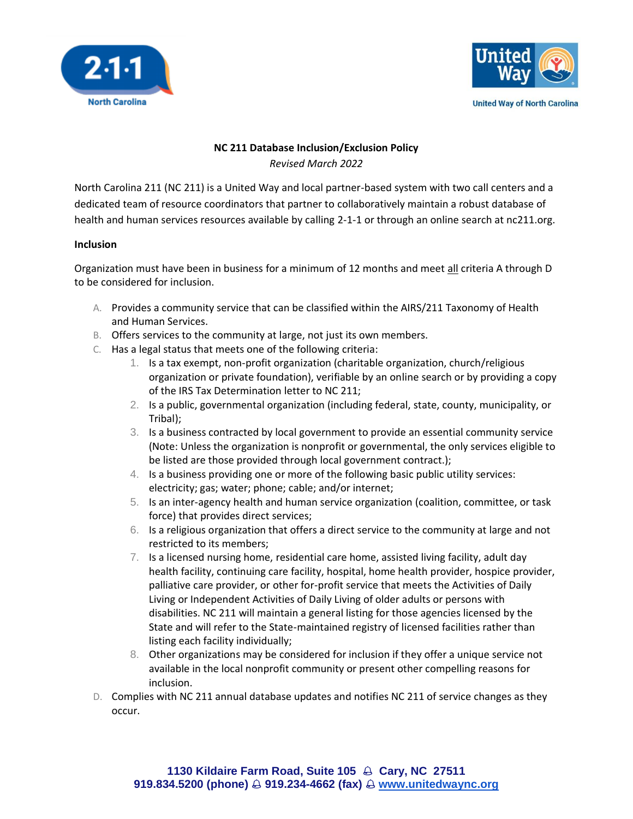



## **NC 211 Database Inclusion/Exclusion Policy**

*Revised March 2022*

North Carolina 211 (NC 211) is a United Way and local partner-based system with two call centers and a dedicated team of resource coordinators that partner to collaboratively maintain a robust database of health and human services resources available by calling 2-1-1 or through an online search at nc211.org.

## **Inclusion**

Organization must have been in business for a minimum of 12 months and meet all criteria A through D to be considered for inclusion.

- A. Provides a community service that can be classified within the AIRS/211 Taxonomy of Health and Human Services.
- B. Offers services to the community at large, not just its own members.
- C. Has a legal status that meets one of the following criteria:
	- 1. Is a tax exempt, non-profit organization (charitable organization, church/religious organization or private foundation), verifiable by an online search or by providing a copy of the IRS Tax Determination letter to NC 211;
	- 2. Is a public, governmental organization (including federal, state, county, municipality, or Tribal);
	- 3. Is a business contracted by local government to provide an essential community service (Note: Unless the organization is nonprofit or governmental, the only services eligible to be listed are those provided through local government contract.);
	- 4. Is a business providing one or more of the following basic public utility services: electricity; gas; water; phone; cable; and/or internet;
	- 5. Is an inter-agency health and human service organization (coalition, committee, or task force) that provides direct services;
	- 6. Is a religious organization that offers a direct service to the community at large and not restricted to its members;
	- 7. Is a licensed nursing home, residential care home, assisted living facility, adult day health facility, continuing care facility, hospital, home health provider, hospice provider, palliative care provider, or other for-profit service that meets the Activities of Daily Living or Independent Activities of Daily Living of older adults or persons with disabilities. NC 211 will maintain a general listing for those agencies licensed by the State and will refer to the State-maintained registry of licensed facilities rather than listing each facility individually;
	- 8. Other organizations may be considered for inclusion if they offer a unique service not available in the local nonprofit community or present other compelling reasons for inclusion.
- D. Complies with NC 211 annual database updates and notifies NC 211 of service changes as they occur.